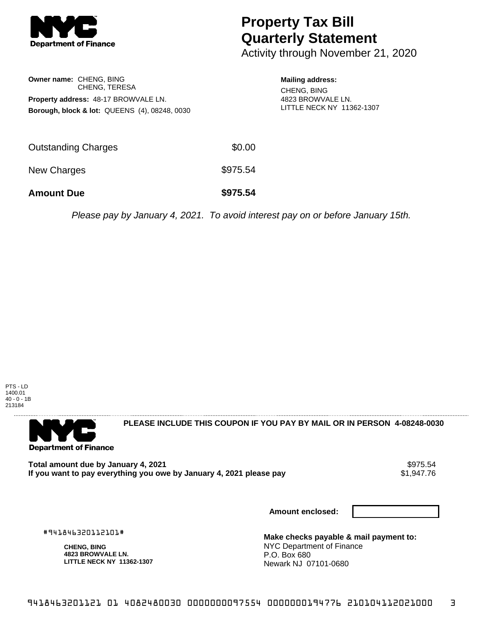

## **Property Tax Bill Quarterly Statement**

Activity through November 21, 2020

| <b>Owner name: CHENG, BING</b>              |                                                          |  |  |
|---------------------------------------------|----------------------------------------------------------|--|--|
| <b>CHENG. TERESA</b>                        |                                                          |  |  |
| <b>Property address: 48-17 BROWVALE LN.</b> |                                                          |  |  |
|                                             | <b>Borough, block &amp; lot: QUEENS (4), 08248, 0030</b> |  |  |

## **Mailing address:** CHENG, BING 4823 BROWVALE LN. LITTLE NECK NY 11362-1307

| <b>Amount Due</b>   | \$975.54 |
|---------------------|----------|
| New Charges         | \$975.54 |
| Outstanding Charges | \$0.00   |

Please pay by January 4, 2021. To avoid interest pay on or before January 15th.

PTS - LD 1400.01 40 - 0 - 1B 213184



**PLEASE INCLUDE THIS COUPON IF YOU PAY BY MAIL OR IN PERSON 4-08248-0030** 

Total amount due by January 4, 2021<br>If you want to pay everything you owe by January 4, 2021 please pay **ship in the same of the set of the s**1,947.76 If you want to pay everything you owe by January 4, 2021 please pay

**Amount enclosed:**

#941846320112101#

**CHENG, BING 4823 BROWVALE LN. LITTLE NECK NY 11362-1307** **Make checks payable & mail payment to:** NYC Department of Finance P.O. Box 680 Newark NJ 07101-0680